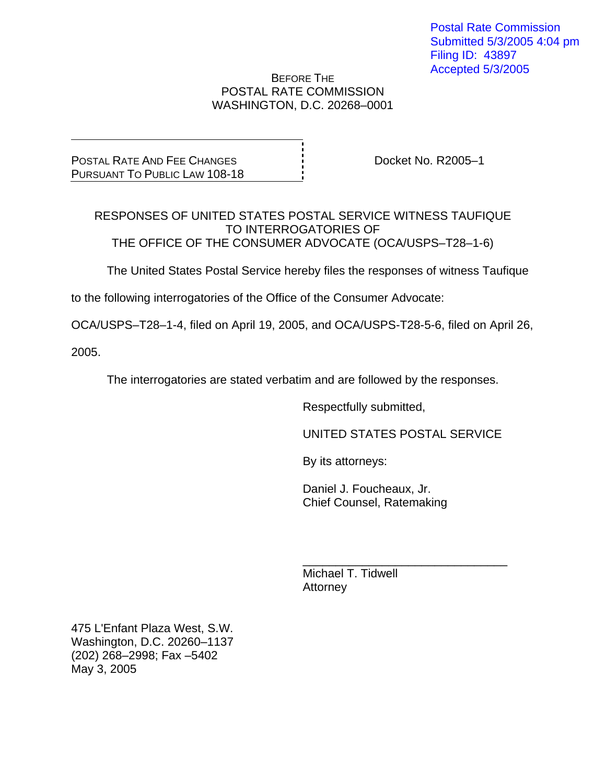## BEFORE THE POSTAL RATE COMMISSION WASHINGTON, D.C. 20268–0001

POSTAL RATE AND FEE CHANGES PURSUANT TO PUBLIC LAW 108-18

Docket No. R2005–1

RESPONSES OF UNITED STATES POSTAL SERVICE WITNESS TAUFIQUE TO INTERROGATORIES OF THE OFFICE OF THE CONSUMER ADVOCATE (OCA/USPS–T28–1-6)

The United States Postal Service hereby files the responses of witness Taufique

to the following interrogatories of the Office of the Consumer Advocate:

OCA/USPS–T28–1-4, filed on April 19, 2005, and OCA/USPS-T28-5-6, filed on April 26,

2005.

The interrogatories are stated verbatim and are followed by the responses.

Respectfully submitted,

UNITED STATES POSTAL SERVICE

By its attorneys:

 Daniel J. Foucheaux, Jr. Chief Counsel, Ratemaking

 $\frac{1}{\sqrt{1-\frac{1}{2}+\frac{1}{2}+\frac{1}{2}+\frac{1}{2}+\frac{1}{2}+\frac{1}{2}+\frac{1}{2}+\frac{1}{2}+\frac{1}{2}+\frac{1}{2}+\frac{1}{2}+\frac{1}{2}+\frac{1}{2}+\frac{1}{2}+\frac{1}{2}+\frac{1}{2}+\frac{1}{2}+\frac{1}{2}+\frac{1}{2}+\frac{1}{2}+\frac{1}{2}+\frac{1}{2}+\frac{1}{2}+\frac{1}{2}+\frac{1}{2}+\frac{1}{2}+\frac{1}{2}+\frac{1}{2}+\frac{1}{2}+\frac{1}{2}+\$  Michael T. Tidwell **Attorney** 

475 L'Enfant Plaza West, S.W. Washington, D.C. 20260–1137 (202) 268–2998; Fax –5402 May 3, 2005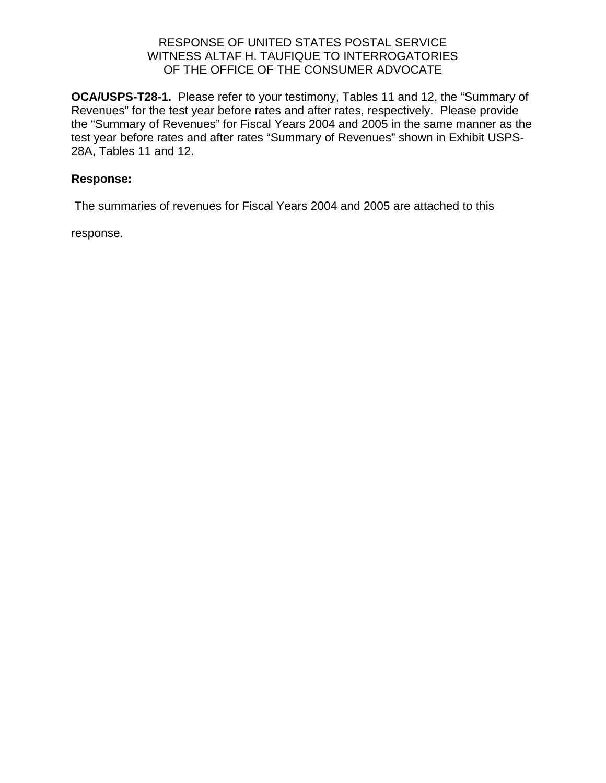**OCA/USPS-T28-1.** Please refer to your testimony, Tables 11 and 12, the "Summary of Revenues" for the test year before rates and after rates, respectively. Please provide the "Summary of Revenues" for Fiscal Years 2004 and 2005 in the same manner as the test year before rates and after rates "Summary of Revenues" shown in Exhibit USPS-28A, Tables 11 and 12.

## **Response:**

The summaries of revenues for Fiscal Years 2004 and 2005 are attached to this

response.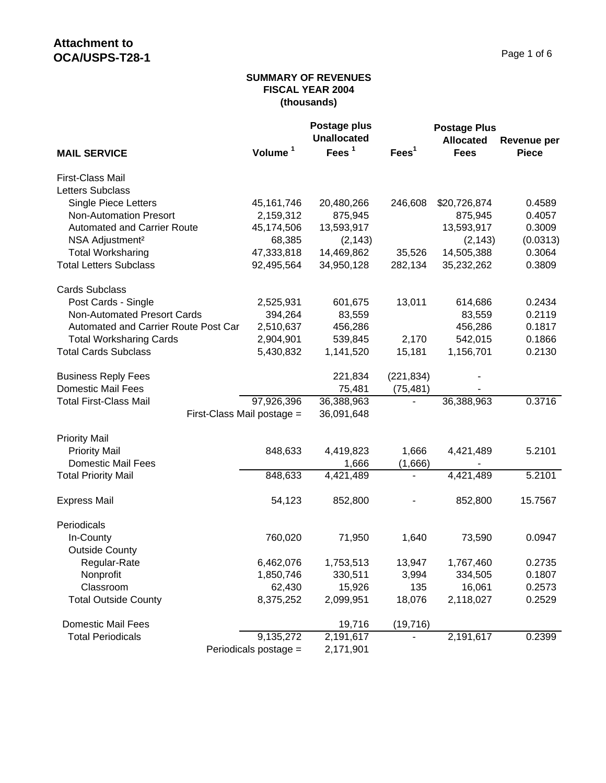### **SUMMARY OF REVENUES FISCAL YEAR 2004 (thousands)**

|                                      |                       | Postage plus       |                   | <b>Postage Plus</b> |              |
|--------------------------------------|-----------------------|--------------------|-------------------|---------------------|--------------|
|                                      |                       | <b>Unallocated</b> |                   | <b>Allocated</b>    | Revenue per  |
| <b>MAIL SERVICE</b>                  | Volume <sup>1</sup>   | Fees <sup>1</sup>  | Fees <sup>1</sup> | <b>Fees</b>         | <b>Piece</b> |
| First-Class Mail                     |                       |                    |                   |                     |              |
| <b>Letters Subclass</b>              |                       |                    |                   |                     |              |
| <b>Single Piece Letters</b>          | 45, 161, 746          | 20,480,266         | 246,608           | \$20,726,874        | 0.4589       |
| <b>Non-Automation Presort</b>        | 2,159,312             | 875,945            |                   | 875,945             | 0.4057       |
| <b>Automated and Carrier Route</b>   | 45,174,506            | 13,593,917         |                   | 13,593,917          | 0.3009       |
| NSA Adjustment <sup>2</sup>          | 68,385                | (2, 143)           |                   | (2, 143)            | (0.0313)     |
| <b>Total Worksharing</b>             | 47,333,818            | 14,469,862         | 35,526            | 14,505,388          | 0.3064       |
| <b>Total Letters Subclass</b>        | 92,495,564            | 34,950,128         | 282,134           | 35,232,262          | 0.3809       |
| <b>Cards Subclass</b>                |                       |                    |                   |                     |              |
| Post Cards - Single                  | 2,525,931             | 601,675            | 13,011            | 614,686             | 0.2434       |
| <b>Non-Automated Presort Cards</b>   | 394,264               | 83,559             |                   | 83,559              | 0.2119       |
| Automated and Carrier Route Post Car | 2,510,637             | 456,286            |                   | 456,286             | 0.1817       |
| <b>Total Worksharing Cards</b>       | 2,904,901             | 539,845            | 2,170             | 542,015             | 0.1866       |
| <b>Total Cards Subclass</b>          | 5,430,832             | 1,141,520          | 15,181            | 1,156,701           | 0.2130       |
| <b>Business Reply Fees</b>           |                       | 221,834            | (221, 834)        |                     |              |
| <b>Domestic Mail Fees</b>            |                       | 75,481             | (75, 481)         |                     |              |
| <b>Total First-Class Mail</b>        | 97,926,396            | 36,388,963         |                   | 36,388,963          | 0.3716       |
| First-Class Mail postage =           |                       | 36,091,648         |                   |                     |              |
| <b>Priority Mail</b>                 |                       |                    |                   |                     |              |
| <b>Priority Mail</b>                 | 848,633               | 4,419,823          | 1,666             | 4,421,489           | 5.2101       |
| Domestic Mail Fees                   |                       | 1,666              | (1,666)           |                     |              |
| <b>Total Priority Mail</b>           | 848,633               | 4,421,489          |                   | 4,421,489           | 5.2101       |
| <b>Express Mail</b>                  | 54,123                | 852,800            |                   | 852,800             | 15.7567      |
| Periodicals                          |                       |                    |                   |                     |              |
| In-County                            | 760,020               | 71,950             | 1,640             | 73,590              | 0.0947       |
| <b>Outside County</b>                |                       |                    |                   |                     |              |
| Regular-Rate                         | 6,462,076             | 1,753,513          | 13,947            | 1,767,460           | 0.2735       |
| Nonprofit                            | 1,850,746             | 330,511            | 3,994             | 334,505             | 0.1807       |
| Classroom                            | 62,430                | 15,926             | 135               | 16,061              | 0.2573       |
| <b>Total Outside County</b>          | 8,375,252             | 2,099,951          | 18,076            | 2,118,027           | 0.2529       |
| <b>Domestic Mail Fees</b>            |                       | 19,716             | (19, 716)         |                     |              |
| <b>Total Periodicals</b>             | 9,135,272             | 2,191,617          |                   | 2,191,617           | 0.2399       |
|                                      | Periodicals postage = | 2,171,901          |                   |                     |              |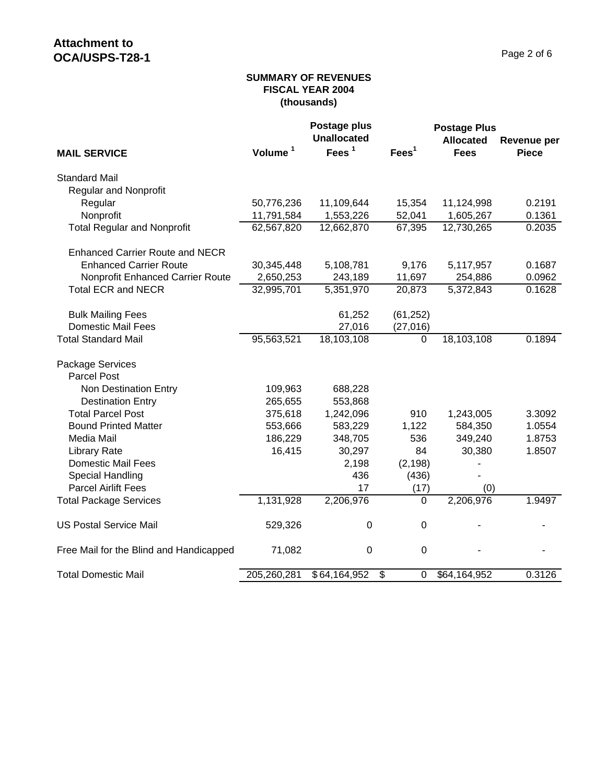### **SUMMARY OF REVENUES FISCAL YEAR 2004 (thousands)**

|                                         |                     | Postage plus<br><b>Unallocated</b> |                   | <b>Postage Plus</b>             |                                    |
|-----------------------------------------|---------------------|------------------------------------|-------------------|---------------------------------|------------------------------------|
| <b>MAIL SERVICE</b>                     | Volume <sup>1</sup> | Fees <sup>1</sup>                  | Fees <sup>1</sup> | <b>Allocated</b><br><b>Fees</b> | <b>Revenue per</b><br><b>Piece</b> |
|                                         |                     |                                    |                   |                                 |                                    |
| <b>Standard Mail</b>                    |                     |                                    |                   |                                 |                                    |
| <b>Regular and Nonprofit</b>            |                     |                                    |                   |                                 |                                    |
| Regular                                 | 50,776,236          | 11,109,644                         | 15,354            | 11,124,998                      | 0.2191                             |
| Nonprofit                               | 11,791,584          | 1,553,226                          | 52,041            | 1,605,267                       | 0.1361                             |
| <b>Total Regular and Nonprofit</b>      | 62,567,820          | 12,662,870                         | 67,395            | 12,730,265                      | 0.2035                             |
| <b>Enhanced Carrier Route and NECR</b>  |                     |                                    |                   |                                 |                                    |
| <b>Enhanced Carrier Route</b>           | 30,345,448          | 5,108,781                          | 9,176             | 5,117,957                       | 0.1687                             |
| Nonprofit Enhanced Carrier Route        | 2,650,253           | 243,189                            | 11,697            | 254,886                         | 0.0962                             |
| <b>Total ECR and NECR</b>               | 32,995,701          | 5,351,970                          | 20,873            | 5,372,843                       | 0.1628                             |
| <b>Bulk Mailing Fees</b>                |                     | 61,252                             | (61, 252)         |                                 |                                    |
| <b>Domestic Mail Fees</b>               |                     | 27,016                             | (27, 016)         |                                 |                                    |
| <b>Total Standard Mail</b>              | 95,563,521          | 18,103,108                         | 0                 | 18,103,108                      | 0.1894                             |
| Package Services                        |                     |                                    |                   |                                 |                                    |
| <b>Parcel Post</b>                      |                     |                                    |                   |                                 |                                    |
| Non Destination Entry                   | 109,963             | 688,228                            |                   |                                 |                                    |
| <b>Destination Entry</b>                | 265,655             | 553,868                            |                   |                                 |                                    |
| <b>Total Parcel Post</b>                | 375,618             | 1,242,096                          | 910               | 1,243,005                       | 3.3092                             |
| <b>Bound Printed Matter</b>             | 553,666             | 583,229                            | 1,122             | 584,350                         | 1.0554                             |
| Media Mail                              | 186,229             | 348,705                            | 536               | 349,240                         | 1.8753                             |
| <b>Library Rate</b>                     | 16,415              | 30,297                             | 84                | 30,380                          | 1.8507                             |
| <b>Domestic Mail Fees</b>               |                     | 2,198                              | (2, 198)          |                                 |                                    |
| Special Handling                        |                     | 436                                | (436)             |                                 |                                    |
| <b>Parcel Airlift Fees</b>              |                     | 17                                 | (17)              | (0)                             |                                    |
| <b>Total Package Services</b>           | 1,131,928           | 2,206,976                          | $\mathbf 0$       | 2,206,976                       | 1.9497                             |
| <b>US Postal Service Mail</b>           | 529,326             | $\boldsymbol{0}$                   | $\mathbf 0$       |                                 |                                    |
| Free Mail for the Blind and Handicapped | 71,082              | $\pmb{0}$                          | $\mathbf 0$       |                                 |                                    |
| <b>Total Domestic Mail</b>              | 205,260,281         | \$64,164,952                       | \$<br>$\mathbf 0$ | \$64,164,952                    | 0.3126                             |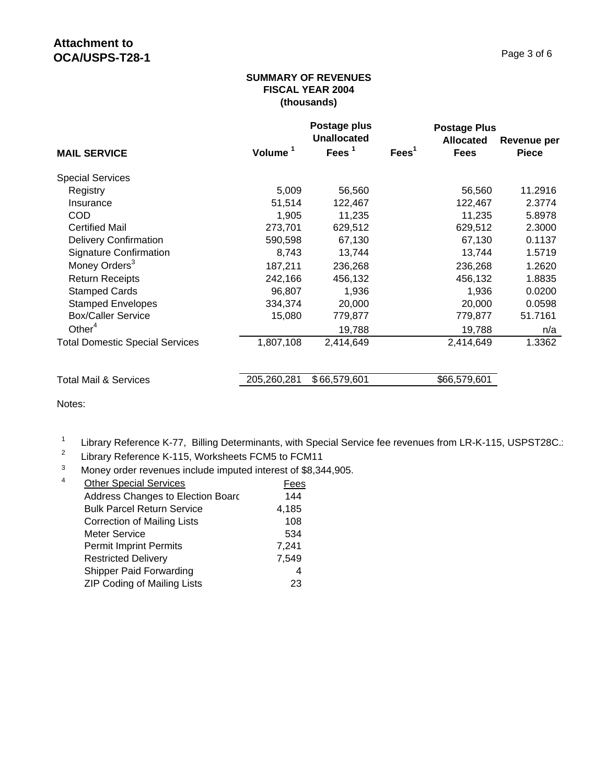### **SUMMARY OF REVENUES FISCAL YEAR 2004 (thousands)**

|                                        |             | Postage plus<br><b>Unallocated</b> |                   | <b>Postage Plus</b><br><b>Allocated</b> | Revenue per  |
|----------------------------------------|-------------|------------------------------------|-------------------|-----------------------------------------|--------------|
| <b>MAIL SERVICE</b>                    | Volume      | Fees $1$                           | Fees <sup>1</sup> | <b>Fees</b>                             | <b>Piece</b> |
| <b>Special Services</b>                |             |                                    |                   |                                         |              |
| Registry                               | 5,009       | 56,560                             |                   | 56,560                                  | 11.2916      |
| Insurance                              | 51,514      | 122,467                            |                   | 122,467                                 | 2.3774       |
| <b>COD</b>                             | 1,905       | 11,235                             |                   | 11,235                                  | 5.8978       |
| <b>Certified Mail</b>                  | 273,701     | 629,512                            |                   | 629,512                                 | 2.3000       |
| <b>Delivery Confirmation</b>           | 590,598     | 67,130                             |                   | 67,130                                  | 0.1137       |
| <b>Signature Confirmation</b>          | 8,743       | 13,744                             |                   | 13,744                                  | 1.5719       |
| Money Orders <sup>3</sup>              | 187,211     | 236,268                            |                   | 236,268                                 | 1.2620       |
| <b>Return Receipts</b>                 | 242,166     | 456,132                            |                   | 456,132                                 | 1.8835       |
| <b>Stamped Cards</b>                   | 96,807      | 1,936                              |                   | 1,936                                   | 0.0200       |
| <b>Stamped Envelopes</b>               | 334,374     | 20,000                             |                   | 20,000                                  | 0.0598       |
| <b>Box/Caller Service</b>              | 15,080      | 779,877                            |                   | 779,877                                 | 51.7161      |
| Other $4$                              |             | 19,788                             |                   | 19,788                                  | n/a          |
| <b>Total Domestic Special Services</b> | 1,807,108   | 2,414,649                          |                   | 2,414,649                               | 1.3362       |
| <b>Total Mail &amp; Services</b>       | 205,260,281 | \$66,579,601                       |                   | \$66,579,601                            |              |

Notes:

<sup>1</sup> Library Reference K-77, Billing Determinants, with Special Service fee revenues from LR-K-115, USPST28C.:<br><sup>2</sup> Library Reference K 115, Werksbeets FCM5 to FCM11

Library Reference K-115, Worksheets FCM5 to FCM11

<sup>3</sup> Money order revenues include imputed interest of \$8,344,905.<br><sup>4</sup> Other Special Services

| 4 | <b>Other Special Services</b>      | Fees  |
|---|------------------------------------|-------|
|   | Address Changes to Election Board  | 144   |
|   | <b>Bulk Parcel Return Service</b>  | 4,185 |
|   | <b>Correction of Mailing Lists</b> | 108   |
|   | <b>Meter Service</b>               | 534   |
|   | <b>Permit Imprint Permits</b>      | 7,241 |
|   | <b>Restricted Delivery</b>         | 7,549 |
|   | Shipper Paid Forwarding            | 4     |
|   | <b>ZIP Coding of Mailing Lists</b> | 23    |
|   |                                    |       |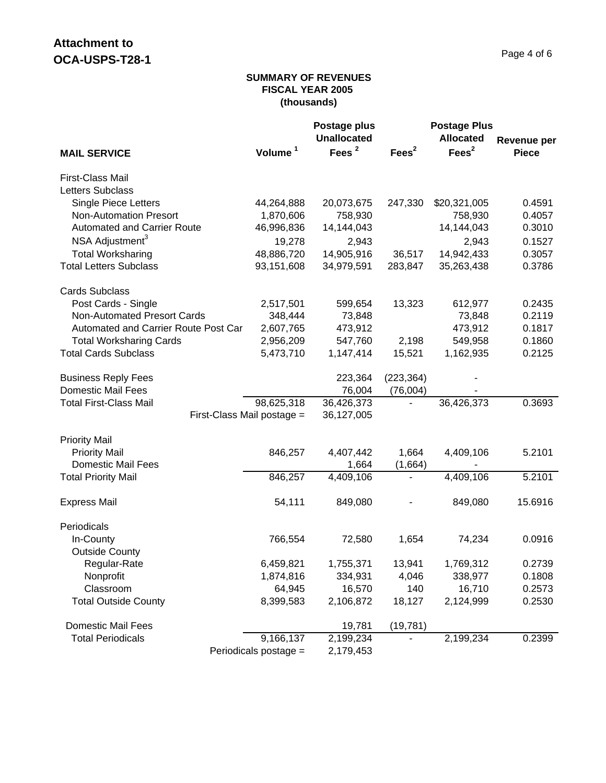### **SUMMARY OF REVENUES FISCAL YEAR 2005 (thousands)**

|                                      |                       | Postage plus       |                   | <b>Postage Plus</b> |              |
|--------------------------------------|-----------------------|--------------------|-------------------|---------------------|--------------|
|                                      |                       | <b>Unallocated</b> |                   | <b>Allocated</b>    | Revenue per  |
| <b>MAIL SERVICE</b>                  | Volume <sup>1</sup>   | Fees $2$           | Fees <sup>2</sup> | Fees <sup>2</sup>   | <b>Piece</b> |
| First-Class Mail                     |                       |                    |                   |                     |              |
| Letters Subclass                     |                       |                    |                   |                     |              |
| <b>Single Piece Letters</b>          | 44,264,888            | 20,073,675         | 247,330           | \$20,321,005        | 0.4591       |
| <b>Non-Automation Presort</b>        | 1,870,606             | 758,930            |                   | 758,930             | 0.4057       |
| <b>Automated and Carrier Route</b>   | 46,996,836            | 14,144,043         |                   | 14,144,043          | 0.3010       |
| NSA Adjustment <sup>3</sup>          | 19,278                | 2,943              |                   | 2,943               | 0.1527       |
| <b>Total Worksharing</b>             | 48,886,720            | 14,905,916         | 36,517            | 14,942,433          | 0.3057       |
| <b>Total Letters Subclass</b>        | 93,151,608            | 34,979,591         | 283,847           | 35,263,438          | 0.3786       |
| <b>Cards Subclass</b>                |                       |                    |                   |                     |              |
| Post Cards - Single                  | 2,517,501             | 599,654            | 13,323            | 612,977             | 0.2435       |
| <b>Non-Automated Presort Cards</b>   | 348,444               | 73,848             |                   | 73,848              | 0.2119       |
| Automated and Carrier Route Post Car | 2,607,765             | 473,912            |                   | 473,912             | 0.1817       |
| <b>Total Worksharing Cards</b>       | 2,956,209             | 547,760            | 2,198             | 549,958             | 0.1860       |
| <b>Total Cards Subclass</b>          | 5,473,710             | 1,147,414          | 15,521            | 1,162,935           | 0.2125       |
| <b>Business Reply Fees</b>           |                       | 223,364            | (223, 364)        |                     |              |
| <b>Domestic Mail Fees</b>            |                       | 76,004             | (76,004)          |                     |              |
| <b>Total First-Class Mail</b>        | 98,625,318            | 36,426,373         |                   | 36,426,373          | 0.3693       |
| First-Class Mail postage =           |                       | 36,127,005         |                   |                     |              |
| <b>Priority Mail</b>                 |                       |                    |                   |                     |              |
| <b>Priority Mail</b>                 | 846,257               | 4,407,442          | 1,664             | 4,409,106           | 5.2101       |
| <b>Domestic Mail Fees</b>            |                       | 1,664              | (1,664)           |                     |              |
| <b>Total Priority Mail</b>           | 846,257               | 4,409,106          | $\blacksquare$    | 4,409,106           | 5.2101       |
| <b>Express Mail</b>                  | 54,111                | 849,080            |                   | 849,080             | 15.6916      |
| Periodicals                          |                       |                    |                   |                     |              |
| In-County                            | 766,554               | 72,580             | 1,654             | 74,234              | 0.0916       |
| <b>Outside County</b>                |                       |                    |                   |                     |              |
| Regular-Rate                         | 6,459,821             | 1,755,371          | 13,941            | 1,769,312           | 0.2739       |
| Nonprofit                            | 1,874,816             | 334,931            | 4,046             | 338,977             | 0.1808       |
| Classroom                            | 64,945                | 16,570             | 140               | 16,710              | 0.2573       |
| <b>Total Outside County</b>          | 8,399,583             | 2,106,872          | 18,127            | 2,124,999           | 0.2530       |
| <b>Domestic Mail Fees</b>            |                       | 19,781             | (19, 781)         |                     |              |
| <b>Total Periodicals</b>             | 9,166,137             | 2,199,234          |                   | 2,199,234           | 0.2399       |
|                                      | Periodicals postage = | 2,179,453          |                   |                     |              |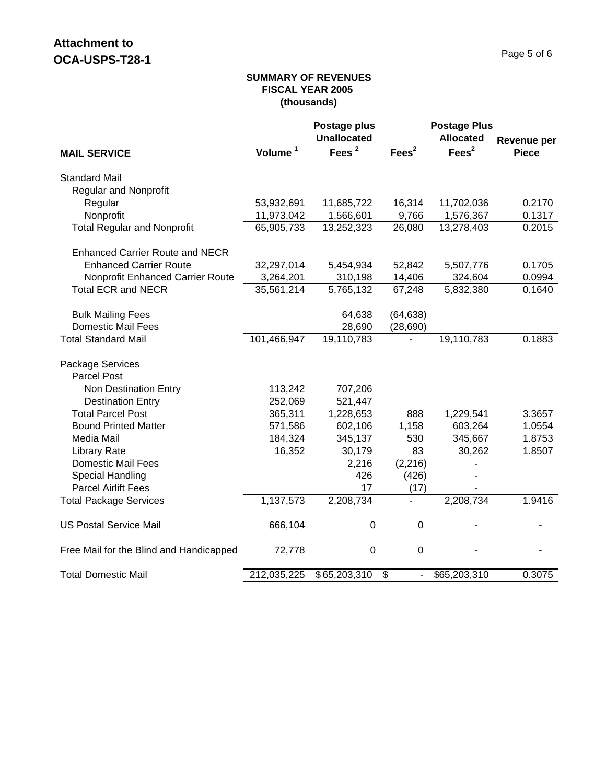### **SUMMARY OF REVENUES FISCAL YEAR 2005 (thousands)**

|                                         |                     | Postage plus<br><b>Unallocated</b> |                          | <b>Postage Plus</b><br><b>Allocated</b> | <b>Revenue per</b> |
|-----------------------------------------|---------------------|------------------------------------|--------------------------|-----------------------------------------|--------------------|
| <b>MAIL SERVICE</b>                     | Volume <sup>1</sup> | Fees <sup>2</sup>                  | Fees <sup>2</sup>        | Fees <sup>2</sup>                       | <b>Piece</b>       |
| <b>Standard Mail</b>                    |                     |                                    |                          |                                         |                    |
| <b>Regular and Nonprofit</b>            |                     |                                    |                          |                                         |                    |
| Regular                                 | 53,932,691          | 11,685,722                         | 16,314                   | 11,702,036                              | 0.2170             |
| Nonprofit                               | 11,973,042          | 1,566,601                          | 9,766                    | 1,576,367                               | 0.1317             |
| <b>Total Regular and Nonprofit</b>      | 65,905,733          | 13,252,323                         | 26,080                   | 13,278,403                              | 0.2015             |
| <b>Enhanced Carrier Route and NECR</b>  |                     |                                    |                          |                                         |                    |
| <b>Enhanced Carrier Route</b>           | 32,297,014          | 5,454,934                          | 52,842                   | 5,507,776                               | 0.1705             |
| Nonprofit Enhanced Carrier Route        | 3,264,201           | 310,198                            | 14,406                   | 324,604                                 | 0.0994             |
| <b>Total ECR and NECR</b>               | 35,561,214          | 5,765,132                          | 67,248                   | 5,832,380                               | 0.1640             |
| <b>Bulk Mailing Fees</b>                |                     | 64,638                             | (64, 638)                |                                         |                    |
| <b>Domestic Mail Fees</b>               |                     | 28,690                             | (28, 690)                |                                         |                    |
| <b>Total Standard Mail</b>              | 101,466,947         | 19,110,783                         |                          | 19,110,783                              | 0.1883             |
| Package Services                        |                     |                                    |                          |                                         |                    |
| Parcel Post                             |                     |                                    |                          |                                         |                    |
| Non Destination Entry                   | 113,242             | 707,206                            |                          |                                         |                    |
| <b>Destination Entry</b>                | 252,069             | 521,447                            |                          |                                         |                    |
| <b>Total Parcel Post</b>                | 365,311             | 1,228,653                          | 888                      | 1,229,541                               | 3.3657             |
| <b>Bound Printed Matter</b>             | 571,586             | 602,106                            | 1,158                    | 603,264                                 | 1.0554             |
| Media Mail                              | 184,324             | 345,137                            | 530                      | 345,667                                 | 1.8753             |
| <b>Library Rate</b>                     | 16,352              | 30,179                             | 83                       | 30,262                                  | 1.8507             |
| <b>Domestic Mail Fees</b>               |                     | 2,216                              | (2, 216)                 |                                         |                    |
| Special Handling                        |                     | 426                                | (426)                    |                                         |                    |
| <b>Parcel Airlift Fees</b>              |                     | 17                                 | (17)                     |                                         |                    |
| <b>Total Package Services</b>           | 1,137,573           | 2,208,734                          |                          | 2,208,734                               | 1.9416             |
| <b>US Postal Service Mail</b>           | 666,104             | $\boldsymbol{0}$                   | 0                        |                                         |                    |
| Free Mail for the Blind and Handicapped | 72,778              | $\pmb{0}$                          | $\mathbf 0$              |                                         |                    |
| <b>Total Domestic Mail</b>              | 212,035,225         | \$65,203,310                       | $\overline{\mathcal{E}}$ | \$65,203,310                            | 0.3075             |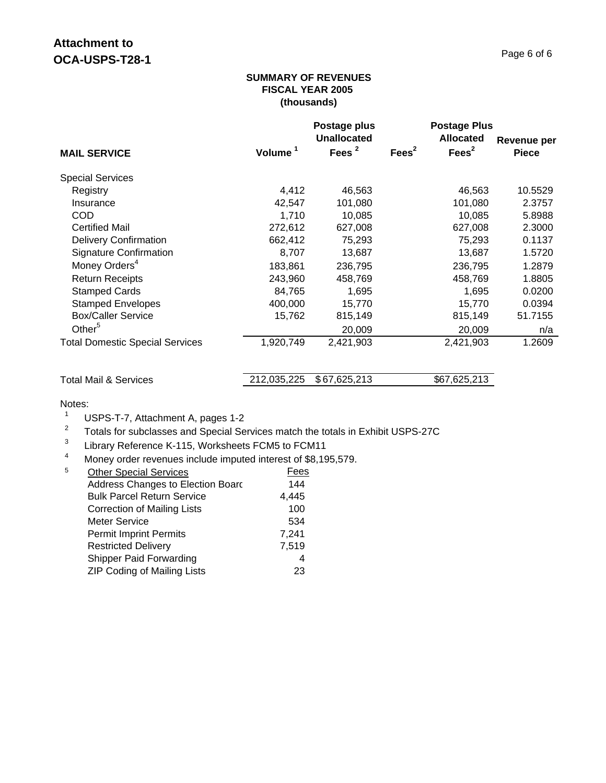#### **SUMMARY OF REVENUES FISCAL YEAR 2005 (thousands)**

|                                        |                     | Postage plus<br>Unallocated |                   | <b>Postage Plus</b><br><b>Allocated</b> | Revenue per  |
|----------------------------------------|---------------------|-----------------------------|-------------------|-----------------------------------------|--------------|
| <b>MAIL SERVICE</b>                    | Volume <sup>1</sup> | Fees $2$                    | Fees <sup>2</sup> | Fees <sup>2</sup>                       | <b>Piece</b> |
| <b>Special Services</b>                |                     |                             |                   |                                         |              |
| Registry                               | 4,412               | 46,563                      |                   | 46,563                                  | 10.5529      |
| Insurance                              | 42,547              | 101,080                     |                   | 101,080                                 | 2.3757       |
| <b>COD</b>                             | 1,710               | 10,085                      |                   | 10,085                                  | 5.8988       |
| <b>Certified Mail</b>                  | 272,612             | 627,008                     |                   | 627,008                                 | 2.3000       |
| <b>Delivery Confirmation</b>           | 662,412             | 75,293                      |                   | 75,293                                  | 0.1137       |
| <b>Signature Confirmation</b>          | 8,707               | 13,687                      |                   | 13,687                                  | 1.5720       |
| Money Orders <sup>4</sup>              | 183,861             | 236,795                     |                   | 236,795                                 | 1.2879       |
| <b>Return Receipts</b>                 | 243,960             | 458,769                     |                   | 458,769                                 | 1.8805       |
| <b>Stamped Cards</b>                   | 84,765              | 1,695                       |                   | 1,695                                   | 0.0200       |
| <b>Stamped Envelopes</b>               | 400,000             | 15,770                      |                   | 15,770                                  | 0.0394       |
| <b>Box/Caller Service</b>              | 15,762              | 815,149                     |                   | 815,149                                 | 51.7155      |
| Other $5$                              |                     | 20,009                      |                   | 20,009                                  | n/a          |
| <b>Total Domestic Special Services</b> | 1,920,749           | 2,421,903                   |                   | 2,421,903                               | 1.2609       |

| Total Mail & Services | 212,035,225 \$67,625,213 | \$67,625,213 |
|-----------------------|--------------------------|--------------|

Notes:

- <sup>1</sup> USPS-T-7, Attachment A, pages 1-2<br><sup>2</sup> Totals for subglasses and Special Se
- <sup>2</sup> Totals for subclasses and Special Services match the totals in Exhibit USPS-27C<br><sup>3</sup> Library Peterones K 115, Werksheets ECM5 to ECM11
- $\frac{3}{4}$  Library Reference K-115, Worksheets FCM5 to FCM11<br>A Money order revenues include imputed interest of \$8.19
- Money order revenues include imputed interest of \$8,195,579.

| 5 | <b>Other Special Services</b>      | Fees  |
|---|------------------------------------|-------|
|   | Address Changes to Election Board  | 144   |
|   | <b>Bulk Parcel Return Service</b>  | 4,445 |
|   | <b>Correction of Mailing Lists</b> | 100   |
|   | Meter Service                      | 534   |
|   | <b>Permit Imprint Permits</b>      | 7,241 |
|   | <b>Restricted Delivery</b>         | 7,519 |
|   | <b>Shipper Paid Forwarding</b>     | 4     |
|   | <b>ZIP Coding of Mailing Lists</b> | 23    |
|   |                                    |       |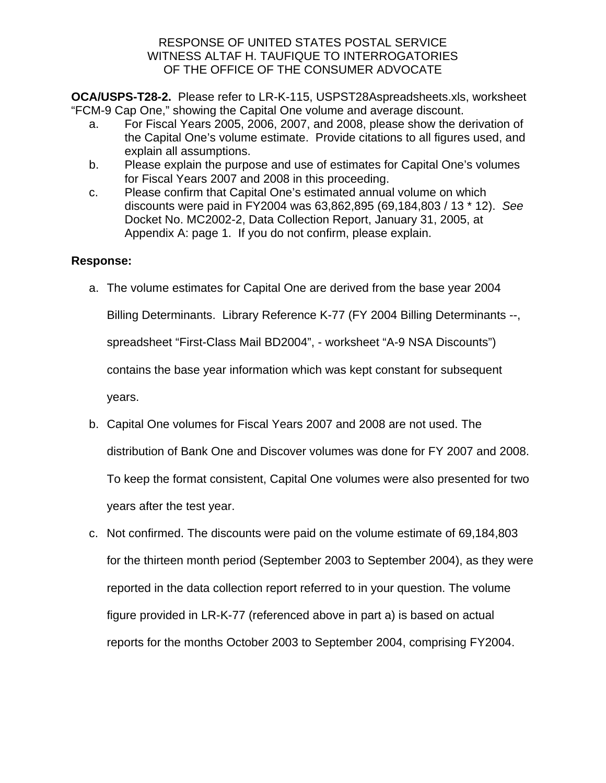**OCA/USPS-T28-2.** Please refer to LR-K-115, USPST28Aspreadsheets.xls, worksheet "FCM-9 Cap One," showing the Capital One volume and average discount.

- a. For Fiscal Years 2005, 2006, 2007, and 2008, please show the derivation of the Capital One's volume estimate. Provide citations to all figures used, and explain all assumptions.
- b. Please explain the purpose and use of estimates for Capital One's volumes for Fiscal Years 2007 and 2008 in this proceeding.
- c. Please confirm that Capital One's estimated annual volume on which discounts were paid in FY2004 was 63,862,895 (69,184,803 / 13 \* 12). *See* Docket No. MC2002-2, Data Collection Report, January 31, 2005, at Appendix A: page 1. If you do not confirm, please explain.

## **Response:**

- a. The volume estimates for Capital One are derived from the base year 2004 Billing Determinants. Library Reference K-77 (FY 2004 Billing Determinants --, spreadsheet "First-Class Mail BD2004", - worksheet "A-9 NSA Discounts") contains the base year information which was kept constant for subsequent years.
- b. Capital One volumes for Fiscal Years 2007 and 2008 are not used. The distribution of Bank One and Discover volumes was done for FY 2007 and 2008. To keep the format consistent, Capital One volumes were also presented for two years after the test year.
- c. Not confirmed. The discounts were paid on the volume estimate of 69,184,803 for the thirteen month period (September 2003 to September 2004), as they were reported in the data collection report referred to in your question. The volume figure provided in LR-K-77 (referenced above in part a) is based on actual reports for the months October 2003 to September 2004, comprising FY2004.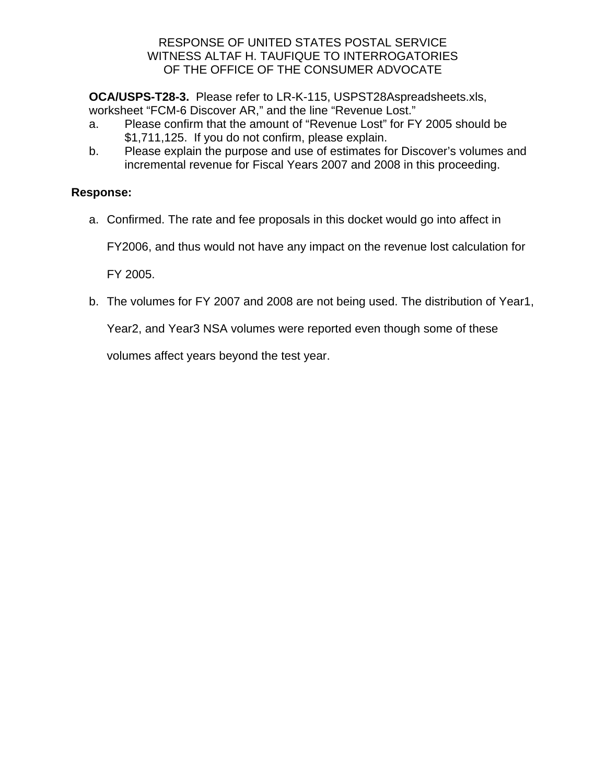**OCA/USPS-T28-3.** Please refer to LR-K-115, USPST28Aspreadsheets.xls, worksheet "FCM-6 Discover AR," and the line "Revenue Lost."

- a. Please confirm that the amount of "Revenue Lost" for FY 2005 should be \$1,711,125. If you do not confirm, please explain.
- b. Please explain the purpose and use of estimates for Discover's volumes and incremental revenue for Fiscal Years 2007 and 2008 in this proceeding.

# **Response:**

a. Confirmed. The rate and fee proposals in this docket would go into affect in

FY2006, and thus would not have any impact on the revenue lost calculation for

FY 2005.

b. The volumes for FY 2007 and 2008 are not being used. The distribution of Year1,

Year2, and Year3 NSA volumes were reported even though some of these

volumes affect years beyond the test year.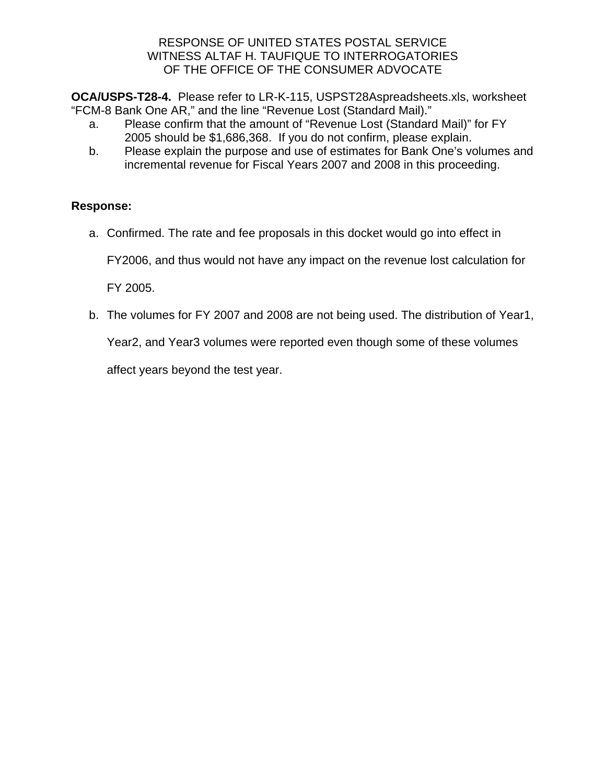**OCA/USPS-T28-4.** Please refer to LR-K-115, USPST28Aspreadsheets.xls, worksheet "FCM-8 Bank One AR," and the line "Revenue Lost (Standard Mail)."

- a. Please confirm that the amount of "Revenue Lost (Standard Mail)" for FY 2005 should be \$1,686,368. If you do not confirm, please explain.
- b. Please explain the purpose and use of estimates for Bank One's volumes and incremental revenue for Fiscal Years 2007 and 2008 in this proceeding.

# **Response:**

a. Confirmed. The rate and fee proposals in this docket would go into effect in

FY2006, and thus would not have any impact on the revenue lost calculation for

FY 2005.

b. The volumes for FY 2007 and 2008 are not being used. The distribution of Year1,

Year2, and Year3 volumes were reported even though some of these volumes

affect years beyond the test year.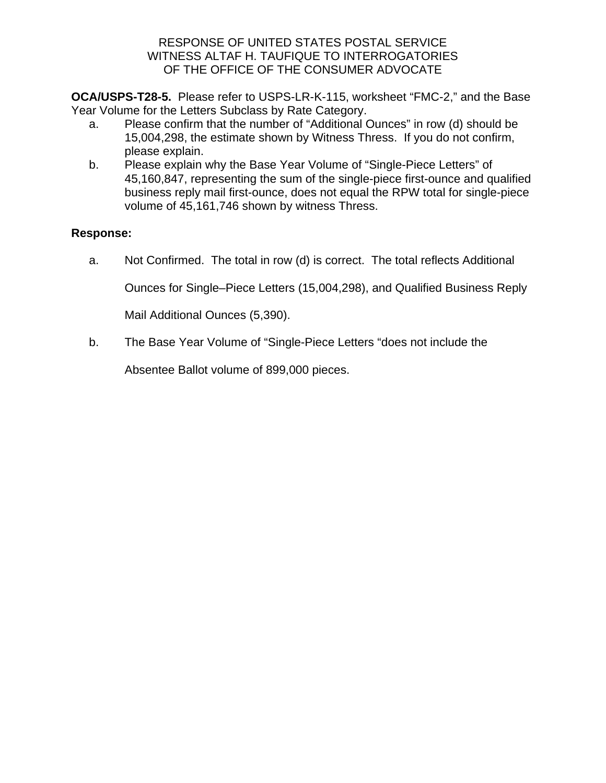**OCA/USPS-T28-5.** Please refer to USPS-LR-K-115, worksheet "FMC-2," and the Base Year Volume for the Letters Subclass by Rate Category.

- a. Please confirm that the number of "Additional Ounces" in row (d) should be 15,004,298, the estimate shown by Witness Thress. If you do not confirm, please explain.
- b. Please explain why the Base Year Volume of "Single-Piece Letters" of 45,160,847, representing the sum of the single-piece first-ounce and qualified business reply mail first-ounce, does not equal the RPW total for single-piece volume of 45,161,746 shown by witness Thress.

# **Response:**

a. Not Confirmed. The total in row (d) is correct. The total reflects Additional

Ounces for Single–Piece Letters (15,004,298), and Qualified Business Reply

Mail Additional Ounces (5,390).

b. The Base Year Volume of "Single-Piece Letters "does not include the

Absentee Ballot volume of 899,000 pieces.